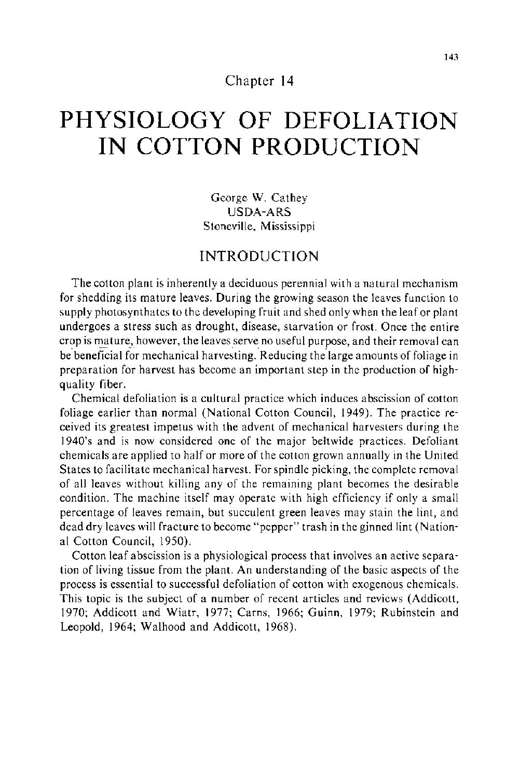#### Chapter 14

# **PHYSIOLOGY OF DEFOLIATION IN COTTON PRODUCTION**

George W. Cathey USDA-ARS Stoneville, Mississippi

# INTRODUCTION

The cotton plant is inherently a deciduous perennial with a natural mechanism for shedding its mature leaves. During the growing season the leaves function to supply photosynthates to the developing fruit and shed only when the leaf or plant undergoes a stress such as drought, disease, starvation or frost. Once the entire crop is mature, however, the leaves serve no useful purpose, and their removal can be beneficial for mechanical harvesting. Reducing the large amounts of foliage in preparation for harvest has become an important step in the production of highquality fiber.

Chemical defoliation is a cultural practice which induces abscission of cotton foliage earlier than normal (National Cotton Council, 1949). The practice received its greatest impetus with the advent of mechanical harvesters during the 1940's and is now considered one of the major beltwide practices. Defoliant chemicals are applied to half or more of the cotton grown annually in the United States to facilitate mechanical harvest. For spindle picking, the complete removal of all leaves without killing any of the remaining plant becomes the desirable condition. The machine itself may operate with high efficiency if only a small percentage of leaves remain, but succulent green leaves may stain the lint, and dead dry leaves will fracture to become "pepper" trash in the ginned lint (National Cotton Council, 1950).

Cotton leaf abscission is a physiological process that involves an active separation of living tissue from the plant. An understanding of the basic aspects of the process is essential to successful defoliation of cotton with exogenous chemicals. This topic is the subject of a number of recent articles and reviews (Addicott, 1970; Addicott and Wiatr, 1977; Carns, 1966; Guinn, 1979; Rubinstein and Leopold, 1964; Walhood and Addicott, 1968).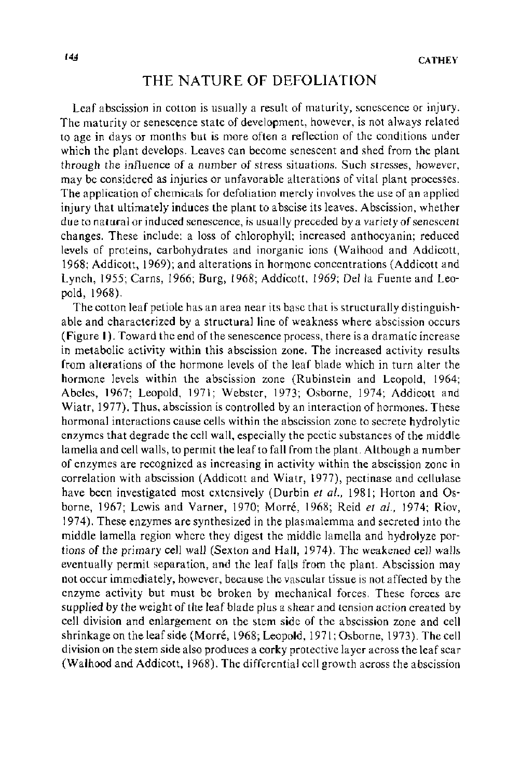## **THE** NATURE OF DEFOLIATION

Leaf abscission in cotton is usually a result of maturity, senescence or injury. The maturity or senescence state of development, however, is not always related to age in days or months but is more often a reflection of the conditions under which the plant develops. Leaves can become senescent and shed from the plant through the influence of a number of stress situations. Such stresses, however, may be considered as injuries or unfavorable alterations of vital plant processes. The application of chemicals for defoliation merely involves the use of an applied injury that ultimately induces the plant to abscise its leaves. Abscission, whether due to natural or induced senescence, is usually preceded by a variety of senescent changes. These include: a loss of chlorophyll; increased anthocyanin; reduced levels of proteins, carbohydrates and inorganic ions (Walhood and Addicott, 1968; Addicott, 1969); and alterations in hormone concentrations (Addicott and Lynch, 1955; Carns, 1966; Burg, 1968; Addicott, 1969; Della Fuente and Leopold, 1968).

The cotton leaf petiole has an area near its base that is structurally distinguishable and characterized by a structural line of weakness where abscission occurs (Figure **1** ). Toward the end of the senescence process, there is a dramatic increase in metabolic activity within this abscission zone. The increased activity results from alterations of the hormone levels of the leaf blade which in turn alter the hormone levels within the abscission zone (Rubinstein and Leopold, 1964; Abeles, 1967; Leopold, 1971; Webster, 1973; Osborne, 1974; Addicott and Wiatr, 1977). Thus, abscission is controlled by an interaction of hormones. These hormonal interactions cause cells within the abscission zone to secrete hydrolytic enzymes that degrade the cell wall, especially the pectic substances of the middle lamella and cell walls, to permit the leaf to fall from the plant. Although a number of enzymes are recognized as increasing in activity within the abscission zone in correlation with abscission (Addicott and Wiatr, 1977), pectinase and cellulase have been investigated most extensively (Durbin *et a!.,* 1981; Horton and Osborne, 1967; Lewis and Varner, 1970; Morre, 1968; Reid *et al.,* 1974; Riov, 197 4). These enzymes are synthesized in the plasmalemma and secreted into the middle lamella region where they digest the middle lamella and hydrolyze portions of the primary cell wall (Sexton and Hall, 1974). The weakened cell walls eventually permit separation, and the leaf falls from the plant. Abscission may not occur immediately, however, because the vascular tissue is not affected by the enzyme activity but must be broken by mechanical forces. These forces are supplied by the weight of the leaf blade plus a shear and tension action created by cell division and enlargement on the stem side of the abscission zone and cell shrinkage on the leaf side (Morre, 1968; Leopold, 1971; Osborne, 1973). The cell division on the stem side also produces a corky protective layer across the leaf scar (Walhood and Addicott, 1968). The differential cell growth across the abscission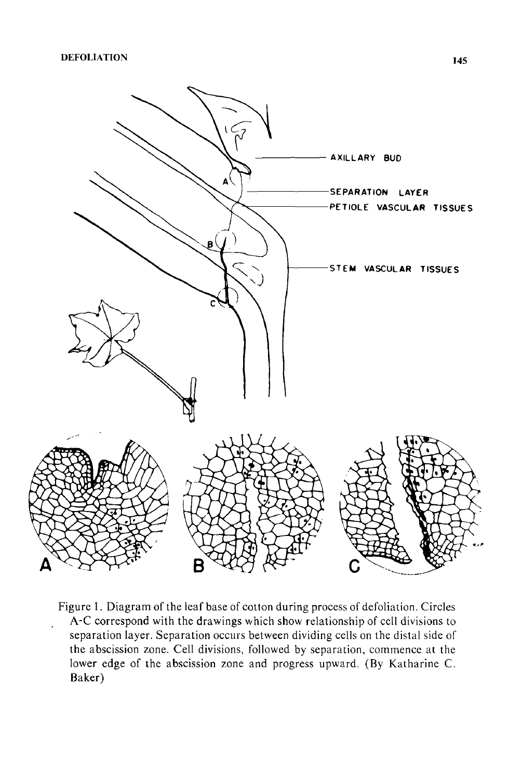

Figure 1. Diagram of the leaf base of cotton during process of defoliation. Circles A-C correspond with the drawings which show relationship of cell divisions to separation layer. Separation occurs between dividing cells on the distal side of the abscission zone. Cell divisions, followed by separation, commence at the lower edge of the abscission zone and progress upward. (By Katharine C. Baker)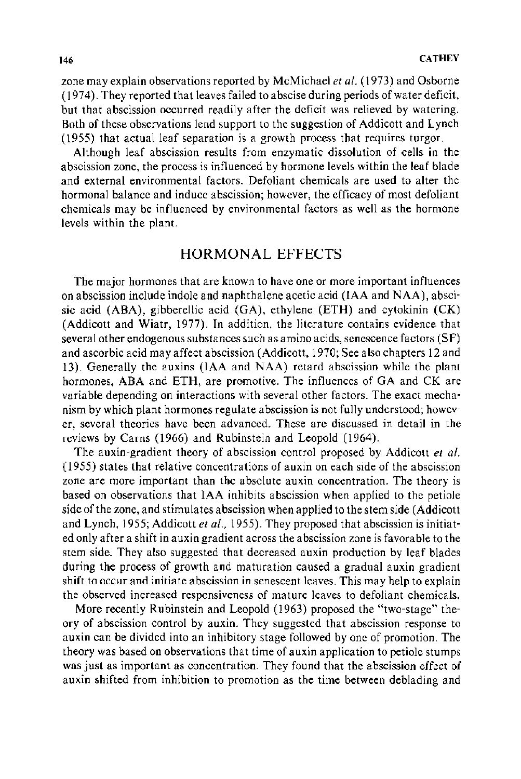zone may explain observations reported by McMichael *et al.* (1973) and Osborne (1974). They reported that leaves failed to abscise during periods of water deficit, but that abscission occurred readily after the deficit was relieved by watering. Both of these observations lend support to the suggestion of Addicott and Lynch (1955) that actual leaf separation is a growth process that requires turgor.

Although leaf abscission results from enzymatic dissolution of cells in the abscission zone, the process is influenced by hormone levels within the leaf blade and external environmental factors. Defoliant chemicals are used to alter the hormonal balance and induce abscission; however, the efficacy of most defoliant chemicals may be influenced by environmental factors as well as the hormone levels within the plant.

### HORMONAL EFFECTS

The major hormones that are known to have one or more important influences on abscission include indole and naphthalene acetic acid (IAA and NAA), abscisic acid (ABA), gibberellic acid (GA), ethylene (ETH) and cytokinin (CK) (Addicott and Wiatr, 1977). In addition, the literature contains evidence that several other endogenous substances such as amino acids, senescence factors (SF) and ascorbic acid may affect abscission (Addicott, 1970; See also chapters 12 and 13). Generally the auxins (IAA and NAA) retard abscission while the plant hormones, ABA and ETH, are promotive. The influences of GA and CK are variable depending on interactions with several other factors. The exact mechanism by which plant hormones regulate abscission is not fully understood; however, several theories have been advanced. These are discussed in detail in the reviews by Carns (1966) and Rubinstein and Leopold (1964).

The auxin-gradient theory of abscission control proposed by Addicott *et al.*  (1955) states that relative concentrations of auxin on each side of the abscission zone are more important than the absolute auxin concentration. The theory is based on observations that IAA inhibits abscission when applied to the petiole side of the zone, and stimulates abscission when applied to the stem side (Addicott and Lynch, 1955; Addicott *et al.,* 1955). They proposed that abscission is initiated only after a shift in auxin gradient across the abscission zone is favorable to the stem side. They also suggested that decreased auxin production by leaf blades during the process of growth and maturation caused a gradual auxin gradient shift to occur and initiate abscission in senescent leaves. This may help to explain the observed increased responsiveness of mature leaves to defoliant chemicals.

More recently Rubinstein and Leopold (1963) proposed the "two-stage" theory of abscission control by auxin. They suggested that abscission response to auxin can be divided into an inhibitory stage followed by one of promotion. The theory was based on observations that time of auxin application to petiole stumps was just as important as concentration. They found that the abscission effect of auxin shifted from inhibition to promotion as the time between deblading and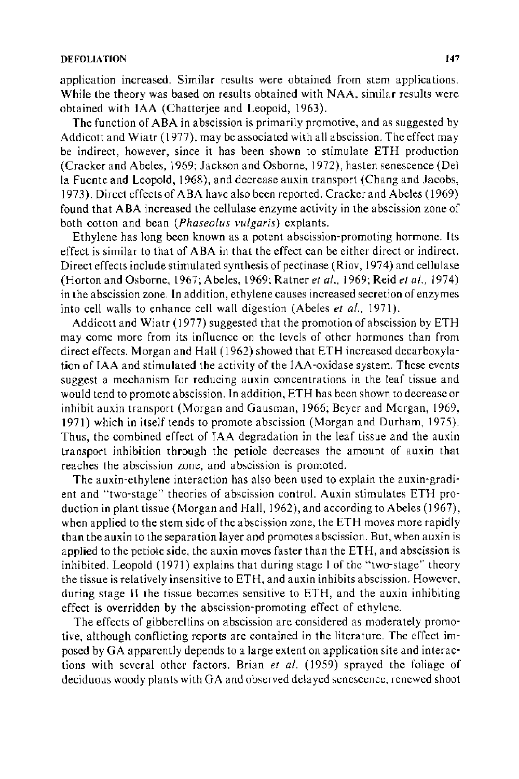#### DEFOLIATION **147**

application increased. Similar results were obtained from stem applications. While the theory was based on results obtained with NAA, similar results were obtained with IAA (Chatterjee and Leopold, 1963).

The function of ABA in abscission is primarily promotive, and as suggested by Addicott and Wiatr ( 1977), may be associated with all abscission. The effect may be indirect, however, since it has been shown to stimulate ETH production (Cracker and Abeles, 1969; Jackson and Osborne, 1972), hasten senescence (Del la Fuente and Leopold, 1968), and decrease auxin transport (Chang and Jacobs, 1973). Direct effects of ABA have also been reported. Cracker and Abeles ( 1969) found that ABA increased the cellulase enzyme activity in the abscission zone of both cotton and bean *(Phaseolus vulgaris)* explants.

Ethylene has long been known as a potent abscission-promoting hormone. Its effect is similar to that of ABA in that the effect can be either direct or indirect. Direct effects include stimulated synthesis of pectinase (Riov, 1974) and cellulase (Horton and Osborne, 1967; Abeles, 1969: Ratner *eta/.,* 1969; Reid *eta/.,* 1974) in the abscission zone. In addition, ethylene causes increased secretion of enzymes into cell walls to enhance cell wall digestion (Abeles *et al.*, 1971).

Addicott and Wiatr ( 1977) suggested that the promotion of abscission by ETH may come more from its influence on the levels of other hormones than from direct effects. Morgan and Hall ( 1962) showed that ETH increased decarboxylation of IAA and stimulated the activity of the IAA-oxidase system. These events suggest a mechanism for reducing auxin concentrations in the leaf tissue and would tend to promote abscission. In addition, ETH has been shown to decrease or inhibit auxin transport (Morgan and Gausman, 1966; Beyer and Morgan, 1969, 1971) which in itself tends to promote abscission (Morgan and Durham, 1975). Thus, the combined effect of IAA degradation in the leaf tissue and the auxin transport inhibition through the petiole decreases the amount of auxin that reaches the abscission zone, and abscission is promoted.

The auxin-ethylene interaction has also been used to explain the auxin-gradient and "two-stage" theories of abscission control. Auxin stimulates ETH production in plant tissue (Morgan and Hall, 1962), and according to Abeles (1967), when applied to the stem side of the abscission zone, the ETH moves more rapidly than the auxin to the separation layer and promotes abscission. But, when auxin is applied to the petiole side, the auxin moves faster than the ETH, and abscission is inhibited. Leopold ( 1971) explains that during stage I of the "two-stage'" theory the tissue is relatively insensitive to ETH, and auxin inhibits abscission. However, during stage II the tissue becomes sensitive to ETH, and the auxin inhibiting effect is overridden by the abscission-promoting effect of ethylene.

The effects of gibberellins on abscission are considered as moderately promotive, although conflicting reports are contained in the literature. The effect imposed by GA apparently depends to a large extent on application site and interactions with several other factors. Brian *et al.* ( 1959) sprayed the foliage of deciduous woody plants with GA and observed delayed senescence, renewed shoot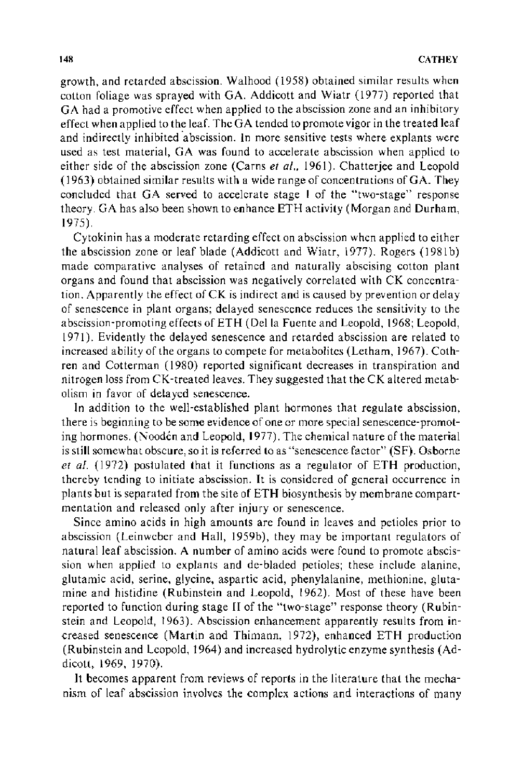growth, and retarded abscission. Walhood (1958) obtained similar results when cotton foliage was sprayed with GA. Addicott and Wiatr (1977) reported that GA had a promotive effect when applied to the abscission zone and an inhibitory effect when applied to the leaf. The GA tended to promote vigor in the treated leaf and indirectly inhibited abscission. In more sensitive tests where explants were used as test material, GA was found to accelerate abscission when applied to either side of the abscission zone (Carns *et a/.,* 1961 ). Chatterjee and Leopold ( 1963) obtained similar results with a wide range of concentrations of GA. They concluded that GA served to accelerate stage I of the "two-stage" response theory. GA has also been shown to enhance ETH activity (Morgan and Durham, 1975).

Cytokinin has a moderate retarding effect on abscission when applied to either the abscission zone or leaf blade (Addicott and Wiatr, 1977). Rogers (198lb) made comparative analyses of retained and naturally abscising cotton plant organs and found that abscission was negatively correlated with CK concentration. Apparently the effect of CK is indirect and is caused by prevention or delay of senescence in plant organs; delayed senescence reduces the sensitivity to the abscission-promoting effects of ETH (Della Fuente and Leopold, 1968; Leopold, 1971 ). Evidently the delayed senescence and retarded abscission are related to increased ability of the organs to compete for metabolites (Letham, 1967). Cothren and Cotterman ( 1980) reported significant decreases in transpiration and nitrogen loss from CK-treated leaves. They suggested that the CK altered metabolism in favor of delayed senescence.

In addition to the well-established plant hormones that regulate abscission, there is beginning to be some evidence of one or more special senescence-promoting hormones. (Nooden and Leopold, 1977). The chemical nature of the material is still somewhat obscure, so it is referred to as "senescence factor" (SF). Osborne *et a/.* ( 1972) postulated that it functions as a regulator of ETH production, thereby tending to initiate abscission. It is considered of general occurrence in plants but is separated from the site of ETH biosynthesis by membrane compartmentation and released only after injury or senescence.

Since amino acids in high amounts are found in leaves and petioles prior to abscission (Leinweber and Hall, 1959b), they may be important regulators of natural leaf abscission. A number of amino acids were found to promote abscission when applied to explants and de-bladed petioles; these include alanine, glutamic acid, serine, glycine, aspartic acid, phenylalanine, methionine, glutamine and histidine (Rubinstein and Leopold, 1962). Most of these have been reported to function during stage II of the "two-stage" response theory (Rubinstein and Leopold, 1963). Abscission enhancement apparently results from increased senescence (Martin and Thimann, 1972), enhanced ETH production (Rubinstein and Leopold, 1964) and increased hydrolytic enzyme synthesis (Addicott, 1969, 1970).

Jt becomes apparent from reviews of reports in the literature that the mechanism of leaf abscission involves the complex actions and interactions of many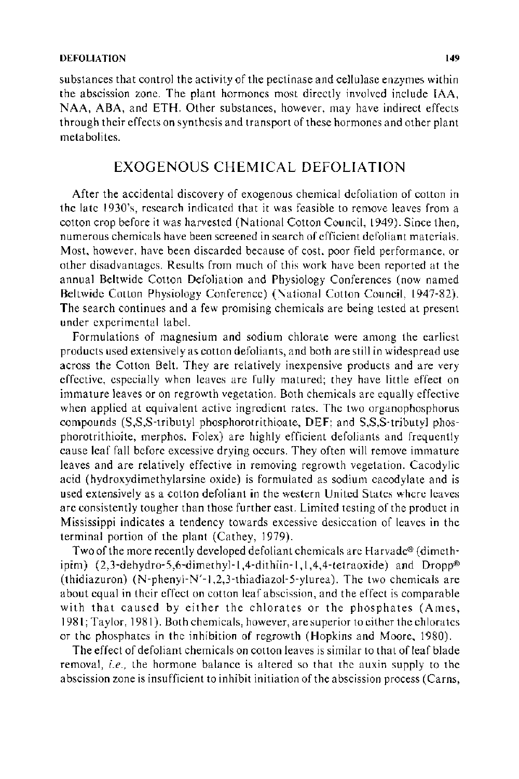substances that control the activity of the pectinase and cellulase enzymes within the abscission zone. The plant hormones most directly involved include IAA, NAA, ABA, and ETH. Other substances, however, may have indirect effects through their effects on synthesis and transport of these hormones and other plant metabolites.

## EXOGENOUS CHEMICAL DEFOLIATION

After the accidental discovery of exogenous chemical defoliation of cotton in the late 1930's, research indicated that it was feasible to remove leaves from a cotton crop before it was harvested (National Cotton Council, 1949). Since then, numerous chemicals have been screened in search of efficient defoliant materials. Most. however, have been discarded because of cost. poor field performance, or other disadvantages. Results from much of this work have been reported at the annual Beltwide Cotton Defoliation and Physiology Conferences (now named Beltwide Cotton Physiology Conference) (National Cotton Council, 1947-82). The search continues and a few promising chemicals are being tested at present under experimental label.

Formulations of magnesium and sodium chlorate were among the earliest products used extensively as cotton defoliants, and both are still in widespread use across the Cotton Belt. They are relatively inexpensive products and are very effective, especially when leaves are fully matured; they have little effect on immature leaves or on regrowth vegetation. Both chemicals are equally effective when applied at equivalent active ingredient rates. The two organophosphorus compounds (S,S,S-tributyl phosphorotrithioate, DEF; and S,S,S-tributyl phosphorotrithioite, merphos, Folex) are highly efficient defoliants and frequently cause leaf fall before excessive drying occurs. They often will remove immature leaves and are relatively effective in removing regrowth vegetation. Cacodylic acid (hydroxydimethylarsine oxide) is formulated as sodium cacodylate and is used extensively as a cotton defoliant in the western United States where leaves are consistently tougher than those further east. Limited testing of the product in Mississippi indicates a tendency towards excessive desiccation of leaves in the terminal portion of the plant (Cathey, 1979).

Two of the more recently developed defoliant chemicals are Harvade® (dimethipim) (2,3-dehydro-5,6-dimethyl-1 ,4-dithiin-1, 1 ,4,4-tetraoxide) and Dropp® (thidiazuron) (N-phenyl-N'-1,2,3-thiadiazol-5-y1urea). The two chemicals are about equal in their effect on cotton leaf abscission, and the effect is comparable with that caused by either the chlorates or the phosphates (Ames, 1981; Taylor, 1981 ). Both chemicals, however, are superior to either the chlorates or the phosphates in the inhibition of regrowth (Hopkins and Moore, 1980).

The effect of defoliant chemicals on cotton leaves is similar to that of leaf blade removal, *i.e.,* the hormone balance is altered so that the auxin supply to the abscission zone is insufficient to inhibit initiation of the abscission process (Carns,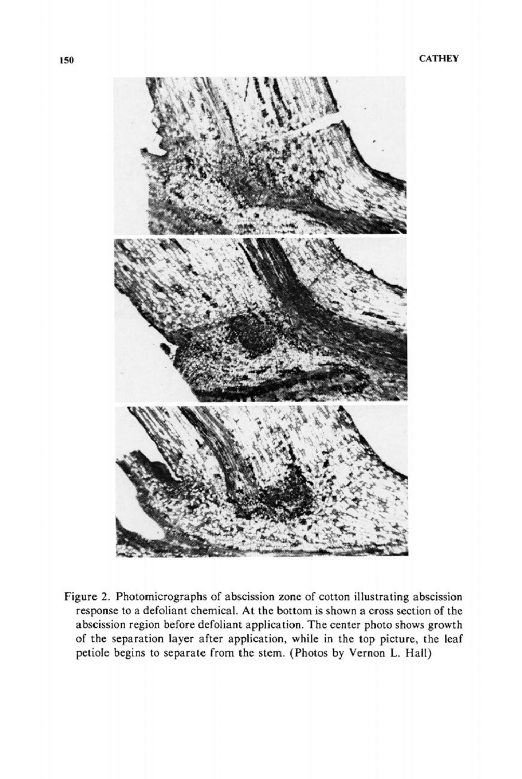

Figure 2. Photomicrographs of abscission zone of cotton illustrating abscission response to a defoliant chemical. At the bottom is shown a cross section of the abscission region before defoliant application. The center photo shows growth of the separation layer after application, while in the top picture, the leaf petiole begins to separate from the stem. (Photos by Vernon L. Hall)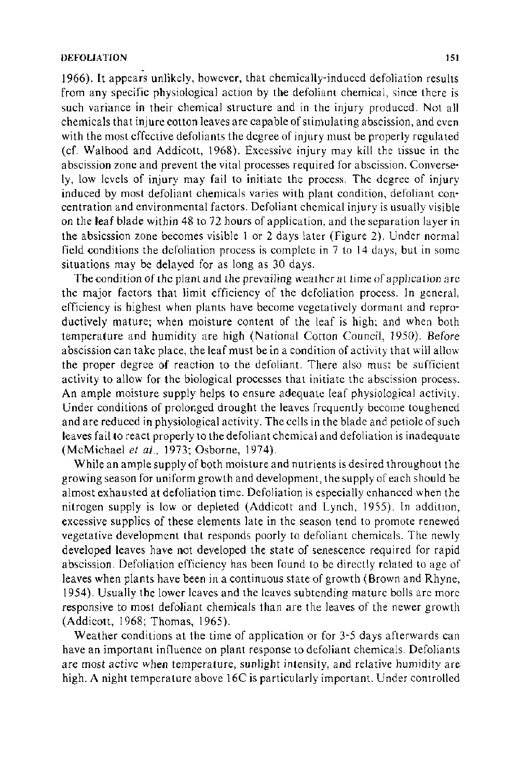1966). It appears unlikely, however, that chemically-induced defoliation results from any specific physiological action by the defoliant chemical, since there is such variance in their chemical structure and in the injury produced. Not all chemicals that injure cotton leaves are capable of stimulating abscission, and even with the most effective defoliants the degree of injury must be properly regulated ( cf. Walhood and Addicott, 1968). Excessive injury may kill the tissue in the abscission zone and prevent the vital processes required for abscission. Conversely, low levels of injury may fail to initiate the process. The degree of injury induced by most defoliant chemicals varies with plant condition, defoliant concentration and environmental factors. Defoliant chemical injury is usually visible on the leaf blade within 48 to 72 hours of application, and the separation layer in the absicssion zone becomes visible I or 2 days later (Figure 2). Under normal field conditions the defoliation process is complete in 7 to 14 days, but in some situations may be delayed for as long as 30 days.

The condition of the plant and the prevailing weather at time of application are the major factors that limit efficiency of the defoliation process. In general, efficiency is highest when plants have become vegetatively dormant and reproductively mature; when moisture content of the leaf is high; and when both temperature and humidity are high (National Cotton Council, 1950). Before abscission can take place, the leaf must be in a condition of activity that will allow the proper degree of reaction to the defoliant. There also must be sufficient activity to allow for the biological processes that initiate the abscission process. An ample moisture supply helps to ensure adequate leaf physiological activity. Under conditions of prolonged drought the leaves frequently become toughened and are reduced in physiological activity. The cells in the blade and petiole of such leaves fail to react properly to the defoliant chemical and defoliation is inadequate (McMichael et al., 1973; Osborne, 1974).

While an ample supply of both moisture and nutrients is desired throughout the growing season for uniform growth and development, the supply of each should be almost exhausted at defoliation time. Defoliation is especially enhanced when the nitrogen supply is low or depleted (Addicott and Lynch, 1955). In addition, excessive supplies of these elements late in the season tend to promote renewed vegetative development that responds poorly to defoliant chemicals. The newly developed leaves have not developed the state of senescence required for rapid abscission. Defoliation efficiency has been found to be directly related to age of leaves when plants have been in a continuous state of growth (Brown and Rhyne, 1954). Usually the lower leaves and the leaves subtending mature bolls are more responsive to *most* defoliant chemicals than are the leaves of the newer growth (Addicott, 1968; Thomas, 1965).

Weather conditions at the time of application or for 3-5 days afterwards can have an important influence on plant response to defoliant chemicals. Defoliants are most active when temperature, sunlight intensity, and relative humidity are high. A night temperature above 16C is particularly important. Under controlled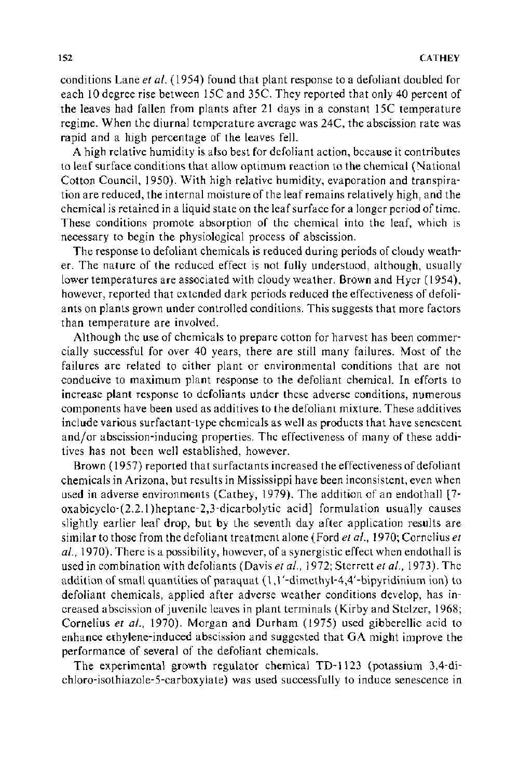conditions Lane *eta!.* (1954) found that plant response to a defoliant doubled for each 10 degree rise between 15C and 35C. They reported that only 40 percent of the leaves had fallen from plants after 21 days in a constant 15C temperature regime. When the diurnal temperature average was 24C, the abscission rate was rapid and a high percentage of the leaves fell.

A high relative humidity is also best for defoliant action, because it contributes to leaf surface conditions that allow optimum reaction to the chemical (National Cotton Council, 1950). With high relative humidity, evaporation and transpiration are reduced, the internal moisture of the leaf remains relatively high, and the chemical is retained in a liquid state on the leaf surface for a longer period of time. These conditions promote absorption of the chemical into the leaf, which is necessary to begin the physiological process of abscission.

The response to defoliant chemicals is reduced during periods of cloudy weather. The nature of the reduced effect is not fully understood, although, usually lower temperatures are associated with cloudy weather. Brown and Hyer (1954), however, reported that extended dark periods reduced the effectiveness of defoliants on plants grown under controlled conditions. This suggests that more factors than temperature are involved.

Although the use of chemicals to prepare cotton for harvest has been commercially successful for over 40 years, there are still many failures. Most of the failures are related to either plant or environmental conditions that are not conducive to maximum plant response to the defoliant chemical. In efforts to increase plant response to defoliants under these adverse conditions, numerous components have been used as additives to the defoliant mixture. These additives include various surfactant-type chemicals as well as products that have senescent and/or abscission-inducing properties. The effectiveness of many of these additives has not been well established, however.

Brown ( 1957) reported that surfactants increased the effectiveness of defoliant chemicals in Arizona, but results in Mississippi have been inconsistent, even when used in adverse environments (Cathey, 1979). The addition of an endothall [7 oxabicyclo-(2.2.1 )heptane-2,3-dicarbolytic acid] formulation usually causes slightly earlier leaf drop, but by the seventh day after application results are similar to those from the defoliant treatment alone (Ford *eta!.,* 1970; Cornelius *et a!.,* 1970). There is a possibility, however, of a synergistic effect when endothall is used in combination with defoliants (Davis *et al.*, 1972; Sterrett *et al.*, 1973). The addition of small quantities of paraquat (1, 1'-dimethyl-4,4'-bipyridinium ion) to defoliant chemicals, applied after adverse weather conditions develop, has increased abscission of juvenile leaves in plant terminals (Kirby and Stelzer, 1968; Cornelius *et a!.,* 1970). Morgan and Durham (1975) used gibberellic acid to enhance ethylene-induced abscission and suggested that GA might improve the performance of several of the defoliant chemicals.

The experimental growth regulator chemical TD-1123 (potassium 3,4-dichloro-isothiazole-5-carboxylate) was used successfully to induce senescence in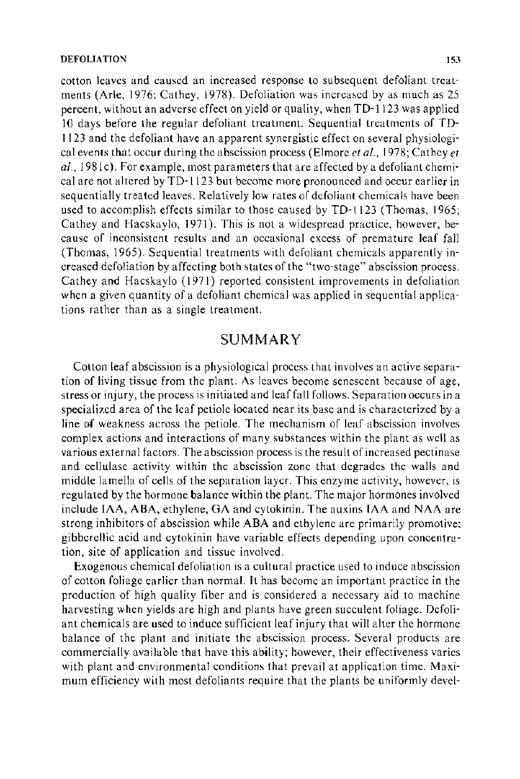#### DEFOLIATION 153

cotton leaves and caused an increased response to subsequent defoliant treatments (Arle, 1976: Cathey, 1978). Defoliation was increased by as much as 25 percent, without an adverse effect on yield or quality, when TD-1123 was applied 10 days before the regular defoliant treatment. Sequential treatments of TD-1123 and the defoliant have an apparent synergistic effect on several physiological events that occur during the abscission process (Elmore *eta/.,* 1978; Cathey *et a/.,* 198lc). For example, most parameters that are affected by a defoliant chemical are not altered by TD-1123 but become more pronounced and occur earlier in sequentially treated leaves. Relatively low rates of defoliant chemicals have been used to accomplish effects similar to those caused by TD-1123 (Thomas, 1965; Cathey and Hacskaylo, 1971). This is not a widespread practice, however, because of inconsistent results and an occasional excess of premature leaf fall (Thomas, 1965). Sequential treatments with defoliant chemicals apparently increased defoliation by affecting both states of the "two-stage" abscission process. Cathey and Hacskaylo (1971) reported consistent improvements in defoliation when a given quantity of a defoliant chemical was applied in sequential applications rather than as a single treatment.

#### SUMMARY

Cotton leaf abscission is a physiological process that involves an active separation of living tissue from the plant. As leaves become senescent because of age, stress or injury, the process is initiated and leaf fall follows. Separation occurs in a specialized area of the leaf petiole located near its base and is characterized by a line of weakness across the petiole. The mechanism of leaf abscission involves complex actions and interactions of many substances within the plant as well as various external factors. The abscission process is the result of increased pectinase and cellulase activity within the abscission zone that degrades the walls and middle lamella of cells of the separation layer. This enzyme activity, however, is regulated by the hormone balance within the plant. The major hormones involved include IAA, ABA, ethylene, GA and cytokinin. The auxins IAA and NAA are strong inhibitors of abscission while ABA and ethylene are primarily promotive: gibberellic acid and cytokinin have variable effects depending upon concentration, site of application and tissue involved.

Exogenous chemical defoliation is a cultural practice used to induce abscission of cotton foliage earlier than normal. It has become an important practice in the production of high quality fiber and is considered a necessary aid to machine harvesting when yields are high and plants have green succulent foliage. Defoliant chemicals are used to induce sufficient leaf injury that will alter the hormone balance of the plant and initiate the abscission process. Several products are commercially available that have this ability; however, their effectiveness varies with plant and environmental conditions that prevail at application time. Maximum efficiency with most defoliants require that the plants be uniformly devel